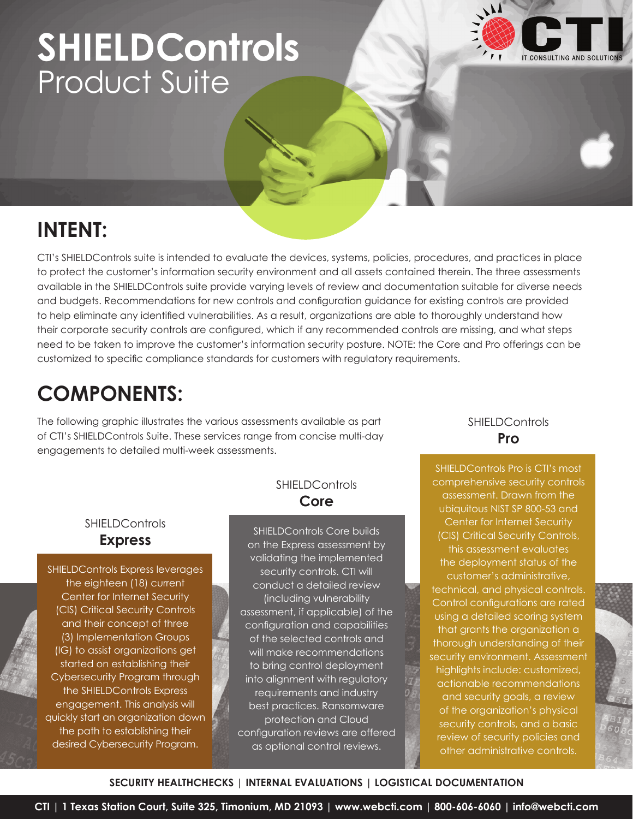# **SHIELDControls** Product Suite



## **INTENT:**

CTI's SHIELDControls suite is intended to evaluate the devices, systems, policies, procedures, and practices in place to protect the customer's information security environment and all assets contained therein. The three assessments available in the SHIELDControls suite provide varying levels of review and documentation suitable for diverse needs and budgets. Recommendations for new controls and configuration guidance for existing controls are provided to help eliminate any identified vulnerabilities. As a result, organizations are able to thoroughly understand how their corporate security controls are configured, which if any recommended controls are missing, and what steps need to be taken to improve the customer's information security posture. NOTE: the Core and Pro offerings can be customized to specific compliance standards for customers with regulatory requirements.

## **COMPONENTS:**

The following graphic illustrates the various assessments available as part of CTI's SHIELDControls Suite. These services range from concise multi-day engagements to detailed multi-week assessments.

### **SHIELDControls Express**

SHIELDControls Express leverages the eighteen (18) current Center for Internet Security (CIS) Critical Security Controls and their concept of three (3) Implementation Groups (IG) to assist organizations get started on establishing their Cybersecurity Program through the SHIELDControls Express engagement. This analysis will quickly start an organization down the path to establishing their desired Cybersecurity Program.

## **SHIELDControls Core**

SHIELDControls Core builds on the Express assessment by validating the implemented security controls. CTI will conduct a detailed review (including vulnerability assessment, if applicable) of the configuration and capabilities of the selected controls and will make recommendations to bring control deployment into alignment with regulatory requirements and industry best practices. Ransomware protection and Cloud configuration reviews are offered as optional control reviews.

**SHIELDControls Pro**

SHIELDControls Pro is CTI's most comprehensive security controls assessment. Drawn from the ubiquitous NIST SP 800-53 and Center for Internet Security (CIS) Critical Security Controls, this assessment evaluates the deployment status of the customer's administrative, technical, and physical controls. Control configurations are rated using a detailed scoring system that grants the organization a thorough understanding of their security environment. Assessment highlights include: customized, actionable recommendations and security goals, a review of the organization's physical security controls, and a basic review of security policies and other administrative controls.